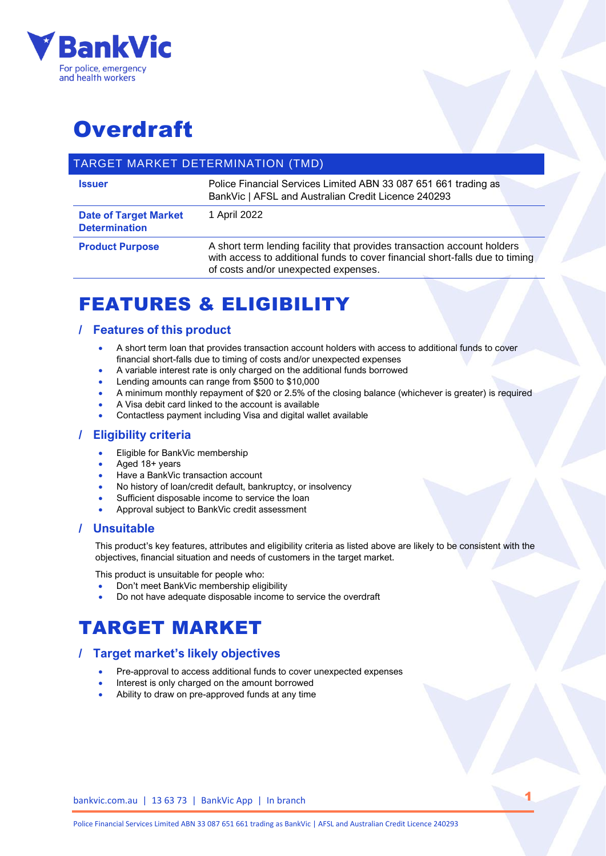

# **Overdraft**

### TARGET MARKET DETERMINATION (TMD)

| <b>Issuer</b>                                        | Police Financial Services Limited ABN 33 087 651 661 trading as<br>BankVic   AFSL and Australian Credit Licence 240293                                                                          |
|------------------------------------------------------|-------------------------------------------------------------------------------------------------------------------------------------------------------------------------------------------------|
| <b>Date of Target Market</b><br><b>Determination</b> | 1 April 2022                                                                                                                                                                                    |
| <b>Product Purpose</b>                               | A short term lending facility that provides transaction account holders<br>with access to additional funds to cover financial short-falls due to timing<br>of costs and/or unexpected expenses. |

# FEATURES & ELIGIBILITY

### **/ Features of this product**

- A short term loan that provides transaction account holders with access to additional funds to cover financial short-falls due to timing of costs and/or unexpected expenses
- A variable interest rate is only charged on the additional funds borrowed
- Lending amounts can range from \$500 to \$10,000
- A minimum monthly repayment of \$20 or 2.5% of the closing balance (whichever is greater) is required
- A Visa debit card linked to the account is available
- Contactless payment including Visa and digital wallet available

### **/ Eligibility criteria**

- Eligible for BankVic membership
- Aged 18+ years
- Have a BankVic transaction account
- No history of loan/credit default, bankruptcy, or insolvency
- Sufficient disposable income to service the loan
- Approval subject to BankVic credit assessment

#### **/ Unsuitable**

This product's key features, attributes and eligibility criteria as listed above are likely to be consistent with the objectives, financial situation and needs of customers in the target market.

1

This product is unsuitable for people who:

- Don't meet BankVic membership eligibility
- Do not have adequate disposable income to service the overdraft

# TARGET MARKET

## **/ Target market's likely objectives**

- Pre-approval to access additional funds to cover unexpected expenses
- Interest is only charged on the amount borrowed
- Ability to draw on pre-approved funds at any time

#### bankvic.com.au | 13 63 73 | BankVic App | In branch